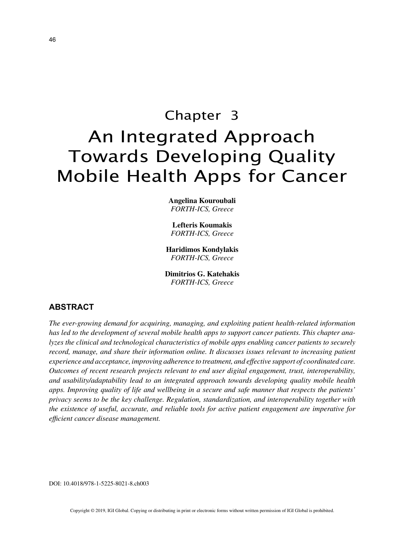# Chapter 3 An Integrated Approach Towards Developing Quality Mobile Health Apps for Cancer

**Angelina Kouroubali** *FORTH-ICS, Greece*

**Lefteris Koumakis** *FORTH-ICS, Greece*

**Haridimos Kondylakis** *FORTH-ICS, Greece*

**Dimitrios G. Katehakis** *FORTH-ICS, Greece*

## **ABSTRACT**

*The ever-growing demand for acquiring, managing, and exploiting patient health-related information has led to the development of several mobile health apps to support cancer patients. This chapter analyzes the clinical and technological characteristics of mobile apps enabling cancer patients to securely record, manage, and share their information online. It discusses issues relevant to increasing patient experience and acceptance, improving adherence to treatment, and effective support of coordinated care. Outcomes of recent research projects relevant to end user digital engagement, trust, interoperability, and usability/adaptability lead to an integrated approach towards developing quality mobile health apps. Improving quality of life and wellbeing in a secure and safe manner that respects the patients' privacy seems to be the key challenge. Regulation, standardization, and interoperability together with the existence of useful, accurate, and reliable tools for active patient engagement are imperative for efficient cancer disease management.*

DOI: 10.4018/978-1-5225-8021-8.ch003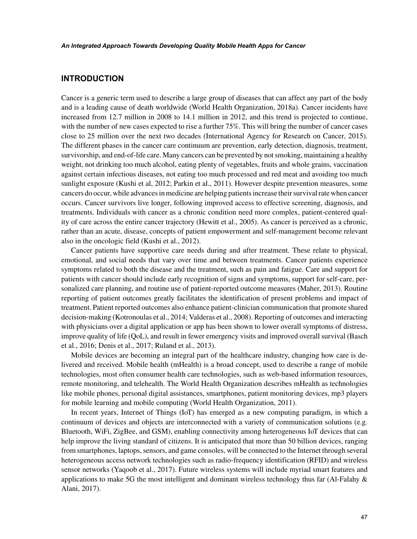## **INTRODUCTION**

Cancer is a generic term used to describe a large group of diseases that can affect any part of the body and is a leading cause of death worldwide (World Health Organization, 2018a). Cancer incidents have increased from 12.7 million in 2008 to 14.1 million in 2012, and this trend is projected to continue, with the number of new cases expected to rise a further 75%. This will bring the number of cancer cases close to 25 million over the next two decades (International Agency for Research on Cancer, 2015). The different phases in the cancer care continuum are prevention, early detection, diagnosis, treatment, survivorship, and end-of-life care. Many cancers can be prevented by not smoking, maintaining a healthy weight, not drinking too much alcohol, eating plenty of vegetables, fruits and whole grains, vaccination against certain infectious diseases, not eating too much processed and red meat and avoiding too much sunlight exposure (Kushi et al, 2012; Parkin et al., 2011). However despite prevention measures, some cancers do occur, while advances in medicine are helping patients increase their survival rate when cancer occurs. Cancer survivors live longer, following improved access to effective screening, diagnosis, and treatments. Individuals with cancer as a chronic condition need more complex, patient-centered quality of care across the entire cancer trajectory (Hewitt et al., 2005). As cancer is perceived as a chronic, rather than an acute, disease, concepts of patient empowerment and self-management become relevant also in the oncologic field (Kushi et al., 2012).

Cancer patients have supportive care needs during and after treatment. These relate to physical, emotional, and social needs that vary over time and between treatments. Cancer patients experience symptoms related to both the disease and the treatment, such as pain and fatigue. Care and support for patients with cancer should include early recognition of signs and symptoms, support for self-care, personalized care planning, and routine use of patient-reported outcome measures (Maher, 2013). Routine reporting of patient outcomes greatly facilitates the identification of present problems and impact of treatment. Patient reported outcomes also enhance patient-clinician communication that promote shared decision-making (Kotronoulas et al., 2014; Valderas et al., 2008). Reporting of outcomes and interacting with physicians over a digital application or app has been shown to lower overall symptoms of distress, improve quality of life (QoL), and result in fewer emergency visits and improved overall survival (Basch et al., 2016; Denis et al., 2017; Ruland et al., 2013).

Mobile devices are becoming an integral part of the healthcare industry, changing how care is delivered and received. Mobile health (mHealth) is a broad concept, used to describe a range of mobile technologies, most often consumer health care technologies, such as web-based information resources, remote monitoring, and telehealth. The World Health Organization describes mHealth as technologies like mobile phones, personal digital assistances, smartphones, patient monitoring devices, mp3 players for mobile learning and mobile computing (World Health Organization, 2011).

In recent years, Internet of Things (IoT) has emerged as a new computing paradigm, in which a continuum of devices and objects are interconnected with a variety of communication solutions (e.g. Bluetooth, WiFi, ZigBee, and GSM), enabling connectivity among heterogeneous IoT devices that can help improve the living standard of citizens. It is anticipated that more than 50 billion devices, ranging from smartphones, laptops, sensors, and game consoles, will be connected to the Internet through several heterogeneous access network technologies such as radio-frequency identification (RFID) and wireless sensor networks (Yaqoob et al., 2017). Future wireless systems will include myriad smart features and applications to make 5G the most intelligent and dominant wireless technology thus far (Al-Falahy  $\&$ Alani, 2017).